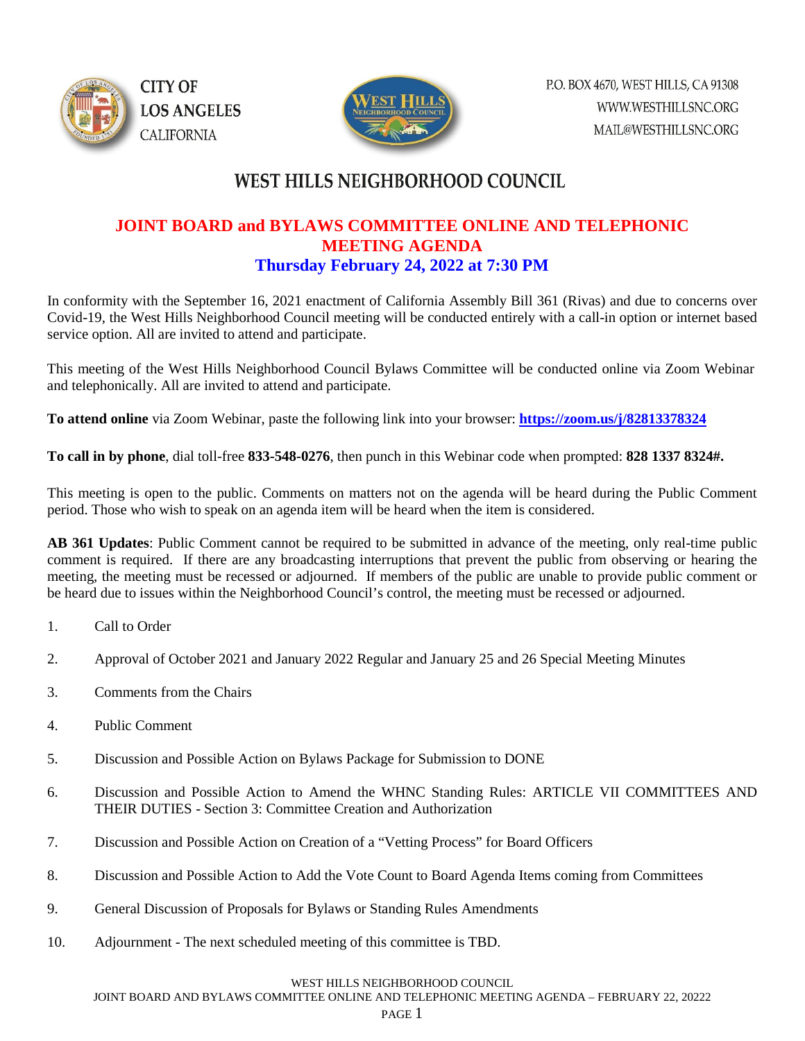



## **JOINT BOARD and BYLAWS COMMITTEE ONLINE AND TELEPHONIC MEETING AGENDA Thursday February 24, 2022 at 7:30 PM**

In conformity with the September 16, 2021 enactment of California Assembly Bill 361 (Rivas) and due to concerns over Covid-19, the West Hills Neighborhood Council meeting will be conducted entirely with a call-in option or internet based service option. All are invited to attend and participate.

This meeting of the West Hills Neighborhood Council Bylaws Committee will be conducted online via Zoom Webinar and telephonically. All are invited to attend and participate.

**To attend online** via Zoom Webinar, paste the following link into your browser: **<https://zoom.us/j/82813378324>**

**To call in by phone**, dial toll-free **833-548-0276**, then punch in this Webinar code when prompted: **828 1337 8324#.** 

This meeting is open to the public. Comments on matters not on the agenda will be heard during the Public Comment period. Those who wish to speak on an agenda item will be heard when the item is considered.

**AB 361 Updates**: Public Comment cannot be required to be submitted in advance of the meeting, only real-time public comment is required. If there are any broadcasting interruptions that prevent the public from observing or hearing the meeting, the meeting must be recessed or adjourned. If members of the public are unable to provide public comment or be heard due to issues within the Neighborhood Council's control, the meeting must be recessed or adjourned.

- 1. Call to Order
- 2. Approval of October 2021 and January 2022 Regular and January 25 and 26 Special Meeting Minutes
- 3. Comments from the Chairs
- 4. Public Comment
- 5. Discussion and Possible Action on Bylaws Package for Submission to DONE
- 6. Discussion and Possible Action to Amend the WHNC Standing Rules: ARTICLE VII COMMITTEES AND THEIR DUTIES - Section 3: Committee Creation and Authorization
- 7. Discussion and Possible Action on Creation of a "Vetting Process" for Board Officers
- 8. Discussion and Possible Action to Add the Vote Count to Board Agenda Items coming from Committees
- 9. General Discussion of Proposals for Bylaws or Standing Rules Amendments
- 10. Adjournment The next scheduled meeting of this committee is TBD.

### WEST HILLS NEIGHBORHOOD COUNCIL

JOINT BOARD AND BYLAWS COMMITTEE ONLINE AND TELEPHONIC MEETING AGENDA – FEBRUARY 22, 20222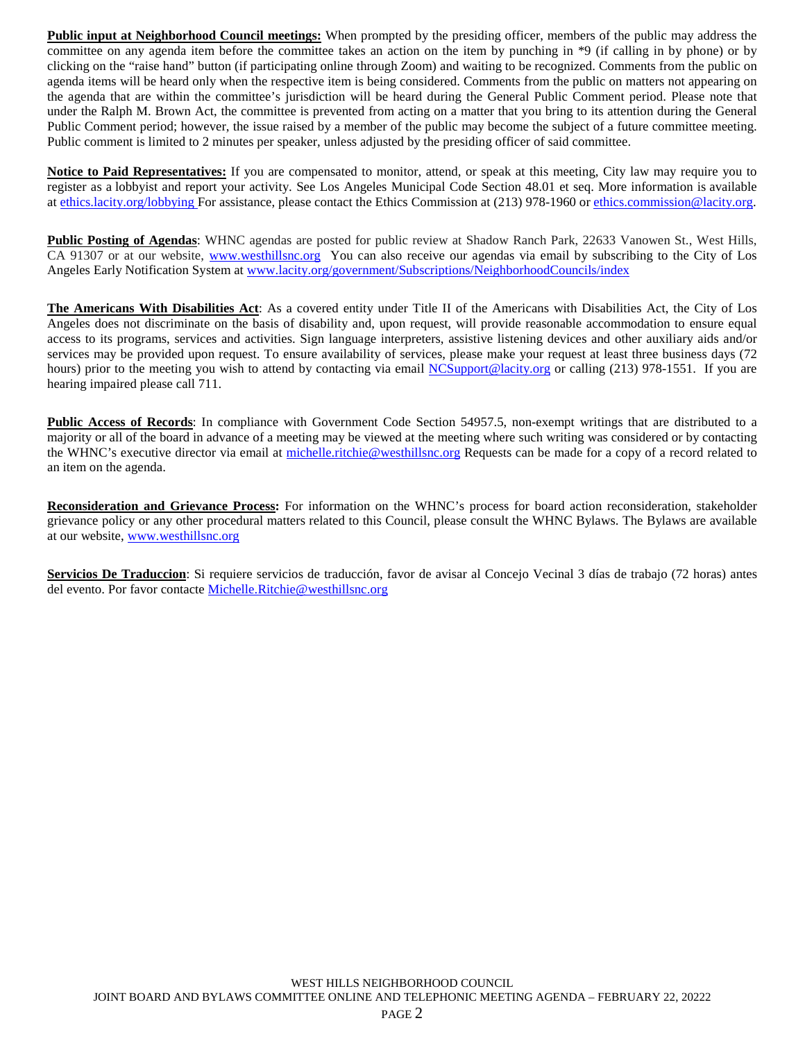**Public input at Neighborhood Council meetings:** When prompted by the presiding officer, members of the public may address the committee on any agenda item before the committee takes an action on the item by punching in \*9 (if calling in by phone) or by clicking on the "raise hand" button (if participating online through Zoom) and waiting to be recognized. Comments from the public on agenda items will be heard only when the respective item is being considered. Comments from the public on matters not appearing on the agenda that are within the committee's jurisdiction will be heard during the General Public Comment period. Please note that under the Ralph M. Brown Act, the committee is prevented from acting on a matter that you bring to its attention during the General Public Comment period; however, the issue raised by a member of the public may become the subject of a future committee meeting. Public comment is limited to 2 minutes per speaker, unless adjusted by the presiding officer of said committee.

**Notice to Paid Representatives:** If you are compensated to monitor, attend, or speak at this meeting, City law may require you to register as a lobbyist and report your activity. See Los Angeles Municipal Code Section 48.01 et seq. More information is available at [ethics.lacity.org/lobbying](http://ethics.lacity.org/lobbying) For assistance, please contact the Ethics Commission at (213) 978-1960 or [ethics.commission@lacity.org.](javascript:void(0);)

**Public Posting of Agendas**: WHNC agendas are posted for public review at Shadow Ranch Park, 22633 Vanowen St., West Hills, CA 91307 or at our website, [www.westhillsnc.org](http://www.westhillsnc.org/) You can also receive our agendas via email by subscribing to the City of Los Angeles Early Notification System at [www.lacity.org/government/Subscriptions/NeighborhoodCouncils/index](http://www.lacity.org/government/Subscriptions/NeighborhoodCouncils/index)

**The Americans With Disabilities Act**: As a covered entity under Title II of the Americans with Disabilities Act, the City of Los Angeles does not discriminate on the basis of disability and, upon request, will provide reasonable accommodation to ensure equal access to its programs, services and activities. Sign language interpreters, assistive listening devices and other auxiliary aids and/or services may be provided upon request. To ensure availability of services, please make your request at least three business days (72 hours) prior to the meeting you wish to attend by contacting via email [NCSupport@lacity.org](mailto:NCSupport@lacity.org) or calling (213) 978-1551. If you are hearing impaired please call 711.

**Public Access of Records**: In compliance with Government Code Section 54957.5, non-exempt writings that are distributed to a majority or all of the board in advance of a meeting may be viewed at the meeting where such writing was considered or by contacting the WHNC's executive director via email at [michelle.ritchie@westhillsnc.org](mailto:michelle.ritchie@westhillsnc.org) Requests can be made for a copy of a record related to an item on the agenda.

**Reconsideration and Grievance Process:** For information on the WHNC's process for board action reconsideration, stakeholder grievance policy or any other procedural matters related to this Council, please consult the WHNC Bylaws. The Bylaws are available at our website, [www.westhillsnc.org](http://www.westhillsnc.org/)

**Servicios De Traduccion**: Si requiere servicios de traducción, favor de avisar al Concejo Vecinal 3 días de trabajo (72 horas) antes del evento. Por favor contacte [Michelle.Ritchie@westhillsnc.org](mailto:Michelle.Ritchie@westhillsnc.org)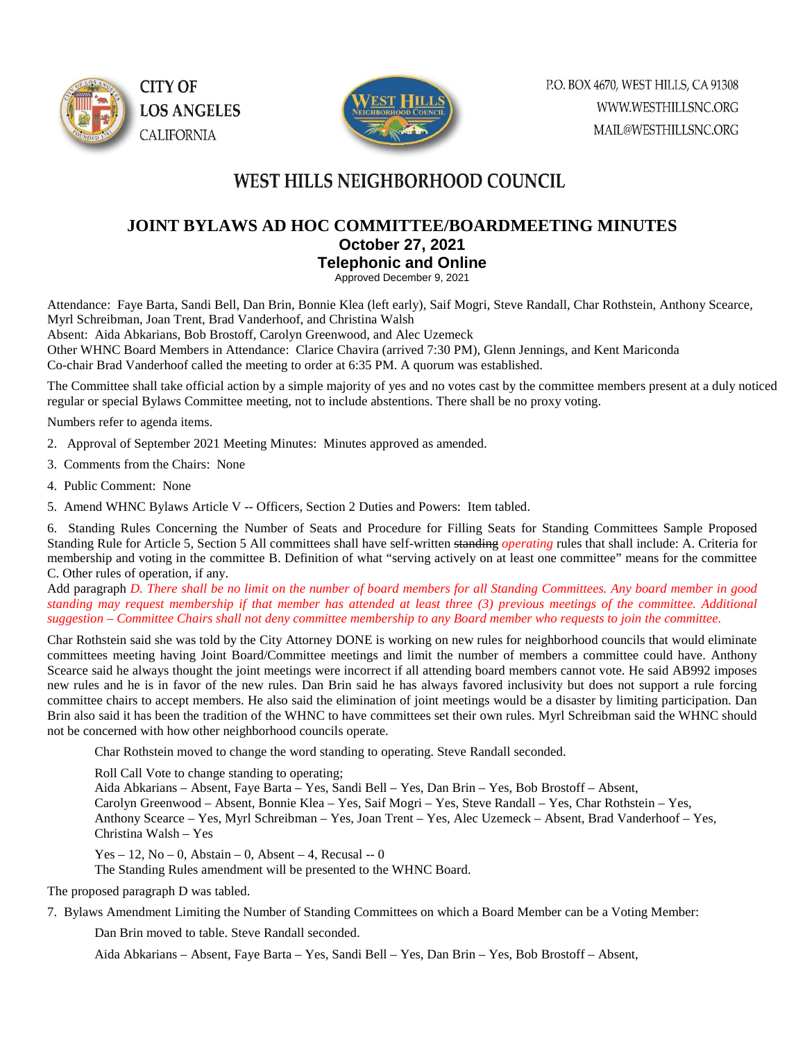



## **JOINT BYLAWS AD HOC COMMITTEE/BOARDMEETING MINUTES October 27, 2021 Telephonic and Online**

Approved December 9, 2021

Attendance: Faye Barta, Sandi Bell, Dan Brin, Bonnie Klea (left early), Saif Mogri, Steve Randall, Char Rothstein, Anthony Scearce, Myrl Schreibman, Joan Trent, Brad Vanderhoof, and Christina Walsh

Absent: Aida Abkarians, Bob Brostoff, Carolyn Greenwood, and Alec Uzemeck

Other WHNC Board Members in Attendance: Clarice Chavira (arrived 7:30 PM), Glenn Jennings, and Kent Mariconda Co-chair Brad Vanderhoof called the meeting to order at 6:35 PM. A quorum was established.

The Committee shall take official action by a simple majority of yes and no votes cast by the committee members present at a duly noticed regular or special Bylaws Committee meeting, not to include abstentions. There shall be no proxy voting.

Numbers refer to agenda items.

- 2. Approval of September 2021 Meeting Minutes: Minutes approved as amended.
- 3. Comments from the Chairs: None
- 4. Public Comment: None
- 5. Amend WHNC Bylaws Article V -- Officers, Section 2 Duties and Powers: Item tabled.

6. Standing Rules Concerning the Number of Seats and Procedure for Filling Seats for Standing Committees Sample Proposed Standing Rule for Article 5, Section 5 All committees shall have self-written standing *operating* rules that shall include: A. Criteria for membership and voting in the committee B. Definition of what "serving actively on at least one committee" means for the committee C. Other rules of operation, if any.

Add paragraph *D. There shall be no limit on the number of board members for all Standing Committees. Any board member in good standing may request membership if that member has attended at least three (3) previous meetings of the committee. Additional suggestion – Committee Chairs shall not deny committee membership to any Board member who requests to join the committee.* 

Char Rothstein said she was told by the City Attorney DONE is working on new rules for neighborhood councils that would eliminate committees meeting having Joint Board/Committee meetings and limit the number of members a committee could have. Anthony Scearce said he always thought the joint meetings were incorrect if all attending board members cannot vote. He said AB992 imposes new rules and he is in favor of the new rules. Dan Brin said he has always favored inclusivity but does not support a rule forcing committee chairs to accept members. He also said the elimination of joint meetings would be a disaster by limiting participation. Dan Brin also said it has been the tradition of the WHNC to have committees set their own rules. Myrl Schreibman said the WHNC should not be concerned with how other neighborhood councils operate.

Char Rothstein moved to change the word standing to operating. Steve Randall seconded.

Roll Call Vote to change standing to operating;

Aida Abkarians – Absent, Faye Barta – Yes, Sandi Bell – Yes, Dan Brin – Yes, Bob Brostoff – Absent, Carolyn Greenwood – Absent, Bonnie Klea – Yes, Saif Mogri – Yes, Steve Randall – Yes, Char Rothstein – Yes, Anthony Scearce – Yes, Myrl Schreibman – Yes, Joan Trent – Yes, Alec Uzemeck – Absent, Brad Vanderhoof – Yes, Christina Walsh – Yes

Yes – 12, No – 0, Abstain – 0, Absent – 4, Recusal -- 0

The Standing Rules amendment will be presented to the WHNC Board.

The proposed paragraph D was tabled.

7. Bylaws Amendment Limiting the Number of Standing Committees on which a Board Member can be a Voting Member:

Dan Brin moved to table. Steve Randall seconded.

Aida Abkarians – Absent, Faye Barta – Yes, Sandi Bell – Yes, Dan Brin – Yes, Bob Brostoff – Absent,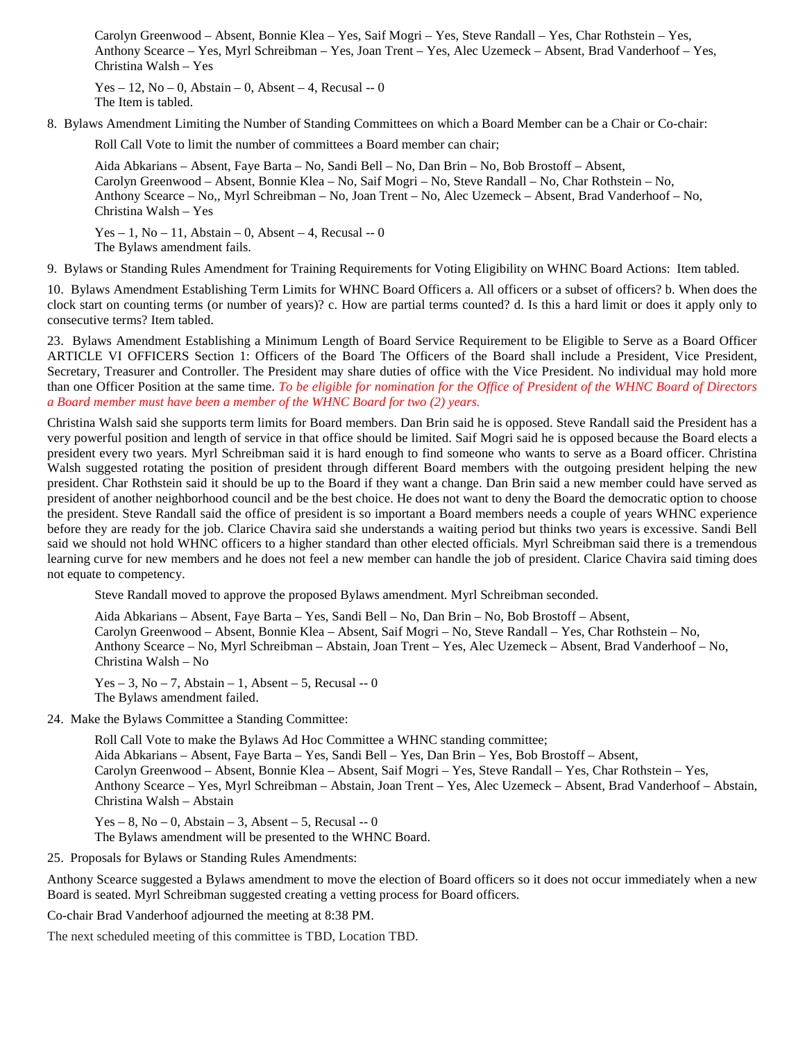Carolyn Greenwood – Absent, Bonnie Klea – Yes, Saif Mogri – Yes, Steve Randall – Yes, Char Rothstein – Yes, Anthony Scearce – Yes, Myrl Schreibman – Yes, Joan Trent – Yes, Alec Uzemeck – Absent, Brad Vanderhoof – Yes, Christina Walsh – Yes

Yes – 12, No – 0, Abstain – 0, Absent – 4, Recusal -- 0 The Item is tabled.

8. Bylaws Amendment Limiting the Number of Standing Committees on which a Board Member can be a Chair or Co-chair:

Roll Call Vote to limit the number of committees a Board member can chair;

Aida Abkarians – Absent, Faye Barta – No, Sandi Bell – No, Dan Brin – No, Bob Brostoff – Absent, Carolyn Greenwood – Absent, Bonnie Klea – No, Saif Mogri – No, Steve Randall – No, Char Rothstein – No, Anthony Scearce – No,, Myrl Schreibman – No, Joan Trent – No, Alec Uzemeck – Absent, Brad Vanderhoof – No, Christina Walsh – Yes

Yes – 1, No – 11, Abstain – 0, Absent – 4, Recusal -- 0 The Bylaws amendment fails.

9. Bylaws or Standing Rules Amendment for Training Requirements for Voting Eligibility on WHNC Board Actions: Item tabled.

10. Bylaws Amendment Establishing Term Limits for WHNC Board Officers a. All officers or a subset of officers? b. When does the clock start on counting terms (or number of years)? c. How are partial terms counted? d. Is this a hard limit or does it apply only to consecutive terms? Item tabled.

23. Bylaws Amendment Establishing a Minimum Length of Board Service Requirement to be Eligible to Serve as a Board Officer ARTICLE VI OFFICERS Section 1: Officers of the Board The Officers of the Board shall include a President, Vice President, Secretary, Treasurer and Controller. The President may share duties of office with the Vice President. No individual may hold more than one Officer Position at the same time. *To be eligible for nomination for the Office of President of the WHNC Board of Directors a Board member must have been a member of the WHNC Board for two (2) years.*

Christina Walsh said she supports term limits for Board members. Dan Brin said he is opposed. Steve Randall said the President has a very powerful position and length of service in that office should be limited. Saif Mogri said he is opposed because the Board elects a president every two years. Myrl Schreibman said it is hard enough to find someone who wants to serve as a Board officer. Christina Walsh suggested rotating the position of president through different Board members with the outgoing president helping the new president. Char Rothstein said it should be up to the Board if they want a change. Dan Brin said a new member could have served as president of another neighborhood council and be the best choice. He does not want to deny the Board the democratic option to choose the president. Steve Randall said the office of president is so important a Board members needs a couple of years WHNC experience before they are ready for the job. Clarice Chavira said she understands a waiting period but thinks two years is excessive. Sandi Bell said we should not hold WHNC officers to a higher standard than other elected officials. Myrl Schreibman said there is a tremendous learning curve for new members and he does not feel a new member can handle the job of president. Clarice Chavira said timing does not equate to competency.

Steve Randall moved to approve the proposed Bylaws amendment. Myrl Schreibman seconded.

Aida Abkarians – Absent, Faye Barta – Yes, Sandi Bell – No, Dan Brin – No, Bob Brostoff – Absent, Carolyn Greenwood – Absent, Bonnie Klea – Absent, Saif Mogri – No, Steve Randall – Yes, Char Rothstein – No, Anthony Scearce – No, Myrl Schreibman – Abstain, Joan Trent – Yes, Alec Uzemeck – Absent, Brad Vanderhoof – No, Christina Walsh – No

Yes – 3, No – 7, Abstain – 1, Absent – 5, Recusal -- 0 The Bylaws amendment failed.

24. Make the Bylaws Committee a Standing Committee:

Roll Call Vote to make the Bylaws Ad Hoc Committee a WHNC standing committee; Aida Abkarians – Absent, Faye Barta – Yes, Sandi Bell – Yes, Dan Brin – Yes, Bob Brostoff – Absent, Carolyn Greenwood – Absent, Bonnie Klea – Absent, Saif Mogri – Yes, Steve Randall – Yes, Char Rothstein – Yes, Anthony Scearce – Yes, Myrl Schreibman – Abstain, Joan Trent – Yes, Alec Uzemeck – Absent, Brad Vanderhoof – Abstain, Christina Walsh – Abstain

 $Yes - 8$ ,  $No - 0$ , Abstain – 3, Absent – 5, Recusal -- 0 The Bylaws amendment will be presented to the WHNC Board.

25. Proposals for Bylaws or Standing Rules Amendments:

Anthony Scearce suggested a Bylaws amendment to move the election of Board officers so it does not occur immediately when a new Board is seated. Myrl Schreibman suggested creating a vetting process for Board officers.

Co-chair Brad Vanderhoof adjourned the meeting at 8:38 PM.

The next scheduled meeting of this committee is TBD, Location TBD.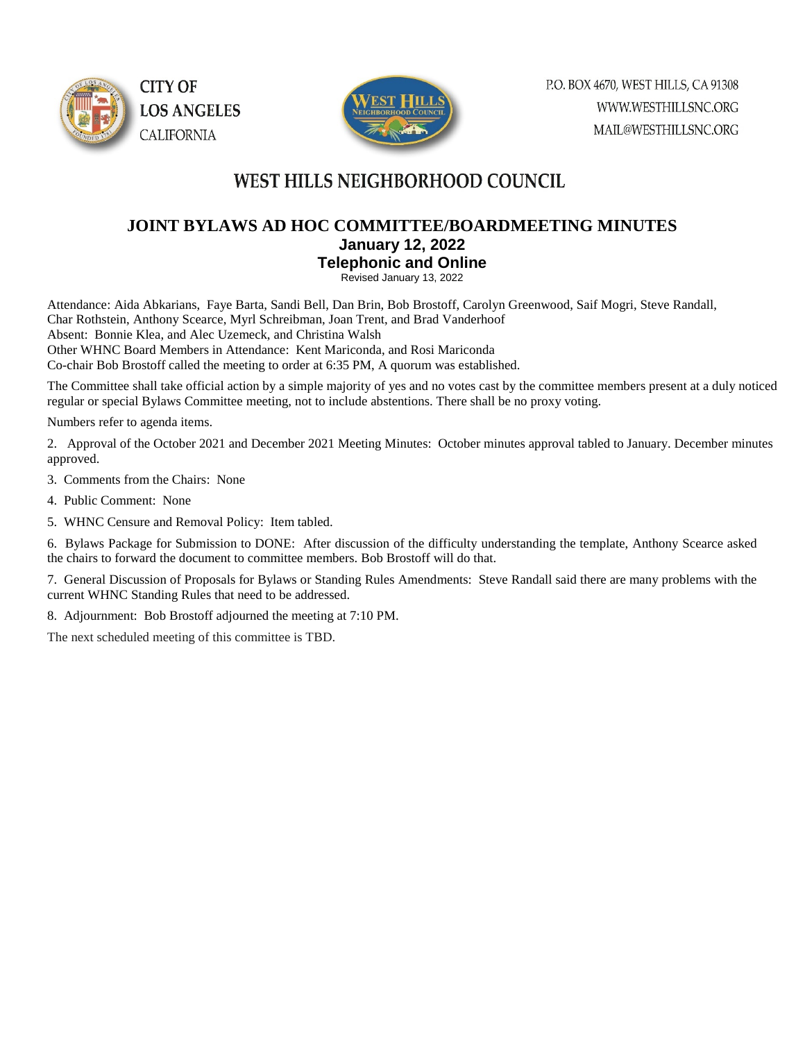



## **JOINT BYLAWS AD HOC COMMITTEE/BOARDMEETING MINUTES January 12, 2022 Telephonic and Online**

Revised January 13, 2022

Attendance: Aida Abkarians, Faye Barta, Sandi Bell, Dan Brin, Bob Brostoff, Carolyn Greenwood, Saif Mogri, Steve Randall, Char Rothstein, Anthony Scearce, Myrl Schreibman, Joan Trent, and Brad Vanderhoof

Absent: Bonnie Klea, and Alec Uzemeck, and Christina Walsh

Other WHNC Board Members in Attendance: Kent Mariconda, and Rosi Mariconda

Co-chair Bob Brostoff called the meeting to order at 6:35 PM, A quorum was established.

The Committee shall take official action by a simple majority of yes and no votes cast by the committee members present at a duly noticed regular or special Bylaws Committee meeting, not to include abstentions. There shall be no proxy voting.

Numbers refer to agenda items.

2. Approval of the October 2021 and December 2021 Meeting Minutes: October minutes approval tabled to January. December minutes approved.

3. Comments from the Chairs: None

4. Public Comment: None

5. WHNC Censure and Removal Policy: Item tabled.

6. Bylaws Package for Submission to DONE: After discussion of the difficulty understanding the template, Anthony Scearce asked the chairs to forward the document to committee members. Bob Brostoff will do that.

7. General Discussion of Proposals for Bylaws or Standing Rules Amendments: Steve Randall said there are many problems with the current WHNC Standing Rules that need to be addressed.

8. Adjournment: Bob Brostoff adjourned the meeting at 7:10 PM.

The next scheduled meeting of this committee is TBD.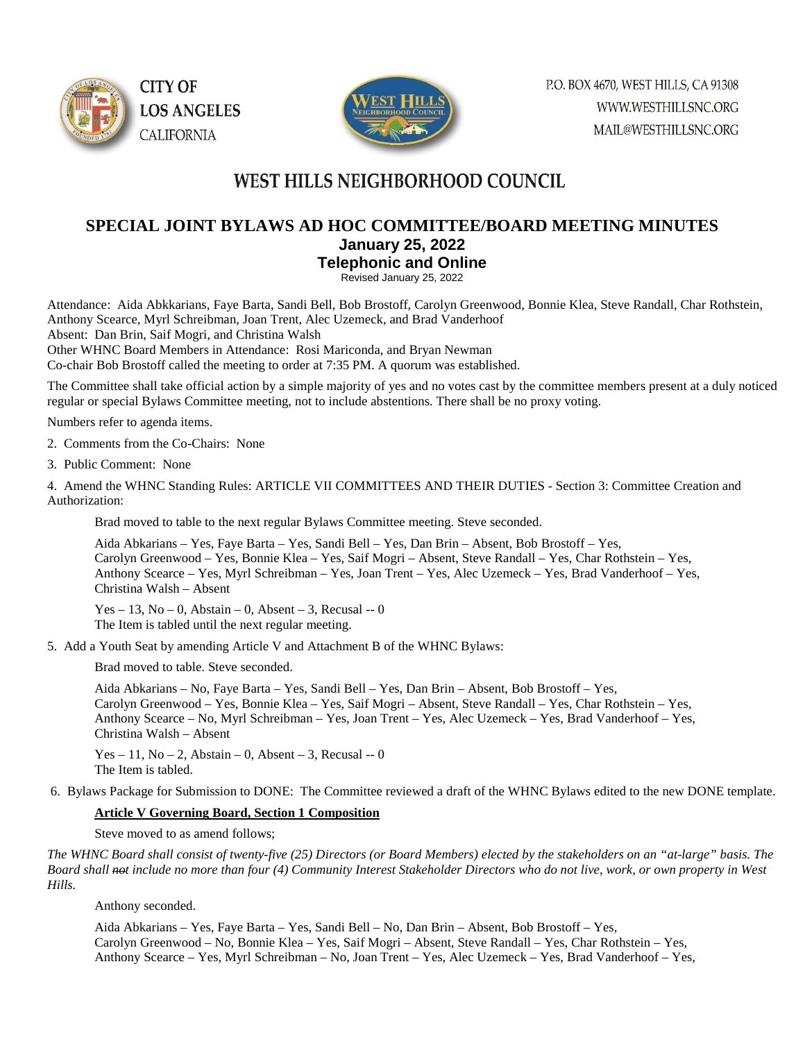



## **SPECIAL JOINT BYLAWS AD HOC COMMITTEE/BOARD MEETING MINUTES January 25, 2022 Telephonic and Online**

Revised January 25, 2022

Attendance: Aida Abkkarians, Faye Barta, Sandi Bell, Bob Brostoff, Carolyn Greenwood, Bonnie Klea, Steve Randall, Char Rothstein, Anthony Scearce, Myrl Schreibman, Joan Trent, Alec Uzemeck, and Brad Vanderhoof

Absent: Dan Brin, Saif Mogri, and Christina Walsh

Other WHNC Board Members in Attendance: Rosi Mariconda, and Bryan Newman

Co-chair Bob Brostoff called the meeting to order at 7:35 PM. A quorum was established.

The Committee shall take official action by a simple majority of yes and no votes cast by the committee members present at a duly noticed regular or special Bylaws Committee meeting, not to include abstentions. There shall be no proxy voting.

Numbers refer to agenda items.

2. Comments from the Co-Chairs: None

3. Public Comment: None

4. Amend the WHNC Standing Rules: ARTICLE VII COMMITTEES AND THEIR DUTIES - Section 3: Committee Creation and Authorization:

Brad moved to table to the next regular Bylaws Committee meeting. Steve seconded.

Aida Abkarians – Yes, Faye Barta – Yes, Sandi Bell – Yes, Dan Brin – Absent, Bob Brostoff – Yes, Carolyn Greenwood – Yes, Bonnie Klea – Yes, Saif Mogri – Absent, Steve Randall – Yes, Char Rothstein – Yes, Anthony Scearce – Yes, Myrl Schreibman – Yes, Joan Trent – Yes, Alec Uzemeck – Yes, Brad Vanderhoof – Yes, Christina Walsh – Absent

Yes – 13, No – 0, Abstain – 0, Absent – 3, Recusal – 0 The Item is tabled until the next regular meeting.

5. Add a Youth Seat by amending Article V and Attachment B of the WHNC Bylaws:

Brad moved to table. Steve seconded.

Aida Abkarians – No, Faye Barta – Yes, Sandi Bell – Yes, Dan Brin – Absent, Bob Brostoff – Yes, Carolyn Greenwood – Yes, Bonnie Klea – Yes, Saif Mogri – Absent, Steve Randall – Yes, Char Rothstein – Yes, Anthony Scearce – No, Myrl Schreibman – Yes, Joan Trent – Yes, Alec Uzemeck – Yes, Brad Vanderhoof – Yes, Christina Walsh – Absent

Yes – 11, No – 2, Abstain – 0, Absent – 3, Recusal -- 0 The Item is tabled.

6. Bylaws Package for Submission to DONE: The Committee reviewed a draft of the WHNC Bylaws edited to the new DONE template.

#### **Article V Governing Board, Section 1 Composition**

Steve moved to as amend follows;

*The WHNC Board shall consist of twenty-five (25) Directors (or Board Members) elected by the stakeholders on an "at-large" basis. The Board shall not include no more than four (4) Community Interest Stakeholder Directors who do not live, work, or own property in West Hills.*

Anthony seconded.

Aida Abkarians – Yes, Faye Barta – Yes, Sandi Bell – No, Dan Brin – Absent, Bob Brostoff – Yes, Carolyn Greenwood – No, Bonnie Klea – Yes, Saif Mogri – Absent, Steve Randall – Yes, Char Rothstein – Yes, Anthony Scearce – Yes, Myrl Schreibman – No, Joan Trent – Yes, Alec Uzemeck – Yes, Brad Vanderhoof – Yes,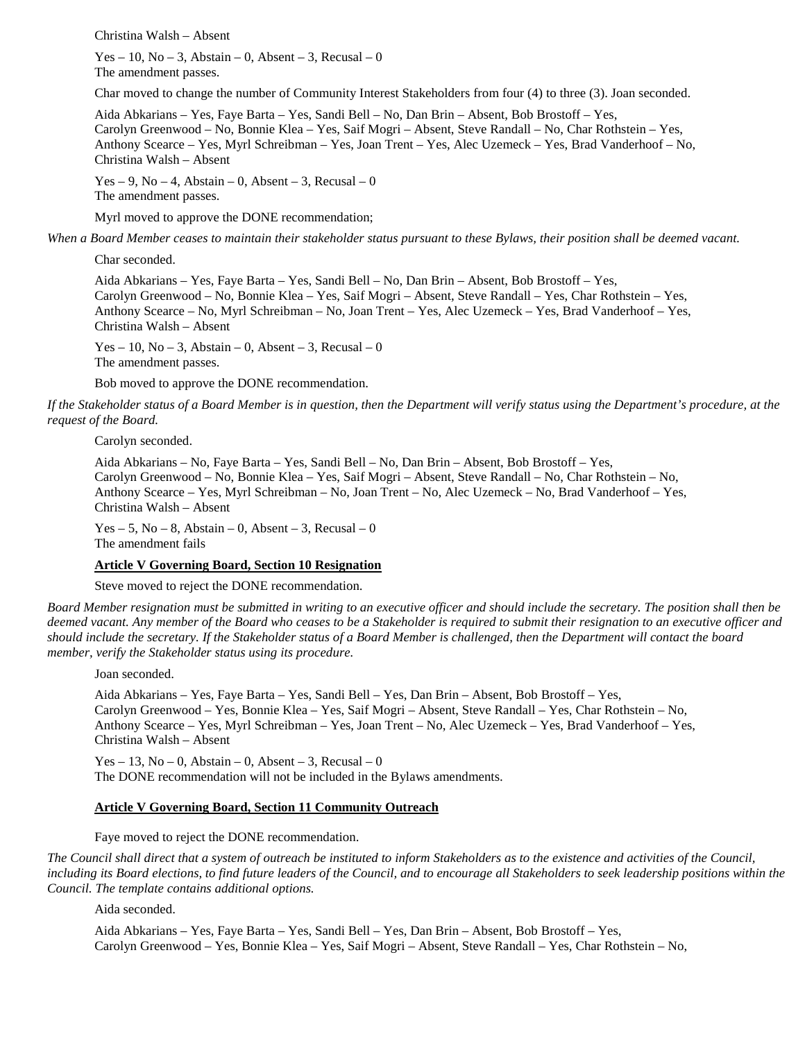Christina Walsh – Absent

Yes – 10, No – 3, Abstain – 0, Absent – 3, Recusal – 0 The amendment passes.

Char moved to change the number of Community Interest Stakeholders from four (4) to three (3). Joan seconded.

Aida Abkarians – Yes, Faye Barta – Yes, Sandi Bell – No, Dan Brin – Absent, Bob Brostoff – Yes, Carolyn Greenwood – No, Bonnie Klea – Yes, Saif Mogri – Absent, Steve Randall – No, Char Rothstein – Yes, Anthony Scearce – Yes, Myrl Schreibman – Yes, Joan Trent – Yes, Alec Uzemeck – Yes, Brad Vanderhoof – No, Christina Walsh – Absent

Yes – 9, No – 4, Abstain – 0, Absent – 3, Recusal – 0 The amendment passes.

Myrl moved to approve the DONE recommendation;

*When a Board Member ceases to maintain their stakeholder status pursuant to these Bylaws, their position shall be deemed vacant.*

Char seconded.

Aida Abkarians – Yes, Faye Barta – Yes, Sandi Bell – No, Dan Brin – Absent, Bob Brostoff – Yes, Carolyn Greenwood – No, Bonnie Klea – Yes, Saif Mogri – Absent, Steve Randall – Yes, Char Rothstein – Yes, Anthony Scearce – No, Myrl Schreibman – No, Joan Trent – Yes, Alec Uzemeck – Yes, Brad Vanderhoof – Yes, Christina Walsh – Absent

Yes – 10, No – 3, Abstain – 0, Absent – 3, Recusal – 0 The amendment passes.

Bob moved to approve the DONE recommendation.

*If the Stakeholder status of a Board Member is in question, then the Department will verify status using the Department's procedure, at the request of the Board.*

Carolyn seconded.

Aida Abkarians – No, Faye Barta – Yes, Sandi Bell – No, Dan Brin – Absent, Bob Brostoff – Yes, Carolyn Greenwood – No, Bonnie Klea – Yes, Saif Mogri – Absent, Steve Randall – No, Char Rothstein – No, Anthony Scearce – Yes, Myrl Schreibman – No, Joan Trent – No, Alec Uzemeck – No, Brad Vanderhoof – Yes, Christina Walsh – Absent

 $Yes - 5$ ,  $No - 8$ , Abstain – 0, Absent – 3, Recusal – 0 The amendment fails

#### **Article V Governing Board, Section 10 Resignation**

Steve moved to reject the DONE recommendation.

*Board Member resignation must be submitted in writing to an executive officer and should include the secretary. The position shall then be deemed vacant. Any member of the Board who ceases to be a Stakeholder is required to submit their resignation to an executive officer and should include the secretary. If the Stakeholder status of a Board Member is challenged, then the Department will contact the board member, verify the Stakeholder status using its procedure.*

Joan seconded.

Aida Abkarians – Yes, Faye Barta – Yes, Sandi Bell – Yes, Dan Brin – Absent, Bob Brostoff – Yes, Carolyn Greenwood – Yes, Bonnie Klea – Yes, Saif Mogri – Absent, Steve Randall – Yes, Char Rothstein – No, Anthony Scearce – Yes, Myrl Schreibman – Yes, Joan Trent – No, Alec Uzemeck – Yes, Brad Vanderhoof – Yes, Christina Walsh – Absent

Yes – 13, No – 0, Abstain – 0, Absent – 3, Recusal – 0 The DONE recommendation will not be included in the Bylaws amendments.

#### **Article V Governing Board, Section 11 Community Outreach**

Faye moved to reject the DONE recommendation.

*The Council shall direct that a system of outreach be instituted to inform Stakeholders as to the existence and activities of the Council, including its Board elections, to find future leaders of the Council, and to encourage all Stakeholders to seek leadership positions within the Council. The template contains additional options.*

Aida seconded.

Aida Abkarians – Yes, Faye Barta – Yes, Sandi Bell – Yes, Dan Brin – Absent, Bob Brostoff – Yes, Carolyn Greenwood – Yes, Bonnie Klea – Yes, Saif Mogri – Absent, Steve Randall – Yes, Char Rothstein – No,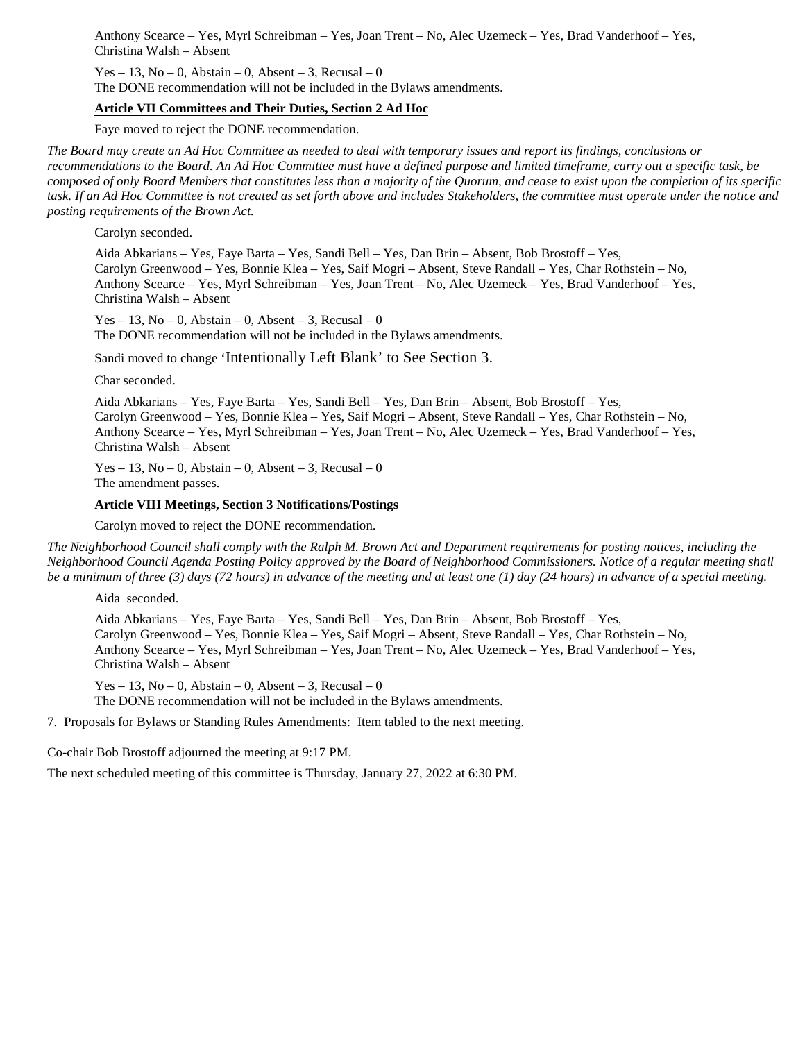Anthony Scearce – Yes, Myrl Schreibman – Yes, Joan Trent – No, Alec Uzemeck – Yes, Brad Vanderhoof – Yes, Christina Walsh – Absent

 $Yes - 13$ ,  $No - 0$ , Abstain – 0, Absent – 3, Recusal – 0

The DONE recommendation will not be included in the Bylaws amendments.

#### **Article VII Committees and Their Duties, Section 2 Ad Hoc**

Faye moved to reject the DONE recommendation.

*The Board may create an Ad Hoc Committee as needed to deal with temporary issues and report its findings, conclusions or recommendations to the Board. An Ad Hoc Committee must have a defined purpose and limited timeframe, carry out a specific task, be composed of only Board Members that constitutes less than a majority of the Quorum, and cease to exist upon the completion of its specific task. If an Ad Hoc Committee is not created as set forth above and includes Stakeholders, the committee must operate under the notice and posting requirements of the Brown Act.*

Carolyn seconded.

Aida Abkarians – Yes, Faye Barta – Yes, Sandi Bell – Yes, Dan Brin – Absent, Bob Brostoff – Yes, Carolyn Greenwood – Yes, Bonnie Klea – Yes, Saif Mogri – Absent, Steve Randall – Yes, Char Rothstein – No, Anthony Scearce – Yes, Myrl Schreibman – Yes, Joan Trent – No, Alec Uzemeck – Yes, Brad Vanderhoof – Yes, Christina Walsh – Absent

Yes – 13, No – 0, Abstain – 0, Absent – 3, Recusal – 0 The DONE recommendation will not be included in the Bylaws amendments.

Sandi moved to change 'Intentionally Left Blank' to See Section 3.

Char seconded.

Aida Abkarians – Yes, Faye Barta – Yes, Sandi Bell – Yes, Dan Brin – Absent, Bob Brostoff – Yes, Carolyn Greenwood – Yes, Bonnie Klea – Yes, Saif Mogri – Absent, Steve Randall – Yes, Char Rothstein – No, Anthony Scearce – Yes, Myrl Schreibman – Yes, Joan Trent – No, Alec Uzemeck – Yes, Brad Vanderhoof – Yes, Christina Walsh – Absent

Yes – 13, No – 0, Abstain – 0, Absent – 3, Recusal – 0 The amendment passes.

#### **Article VIII Meetings, Section 3 Notifications/Postings**

Carolyn moved to reject the DONE recommendation.

*The Neighborhood Council shall comply with the Ralph M. Brown Act and Department requirements for posting notices, including the Neighborhood Council Agenda Posting Policy approved by the Board of Neighborhood Commissioners. Notice of a regular meeting shall be a minimum of three (3) days (72 hours) in advance of the meeting and at least one (1) day (24 hours) in advance of a special meeting.*

Aida seconded.

Aida Abkarians – Yes, Faye Barta – Yes, Sandi Bell – Yes, Dan Brin – Absent, Bob Brostoff – Yes, Carolyn Greenwood – Yes, Bonnie Klea – Yes, Saif Mogri – Absent, Steve Randall – Yes, Char Rothstein – No, Anthony Scearce – Yes, Myrl Schreibman – Yes, Joan Trent – No, Alec Uzemeck – Yes, Brad Vanderhoof – Yes, Christina Walsh – Absent

Yes – 13, No – 0, Abstain – 0, Absent – 3, Recusal – 0 The DONE recommendation will not be included in the Bylaws amendments.

7. Proposals for Bylaws or Standing Rules Amendments: Item tabled to the next meeting.

Co-chair Bob Brostoff adjourned the meeting at 9:17 PM.

The next scheduled meeting of this committee is Thursday, January 27, 2022 at 6:30 PM.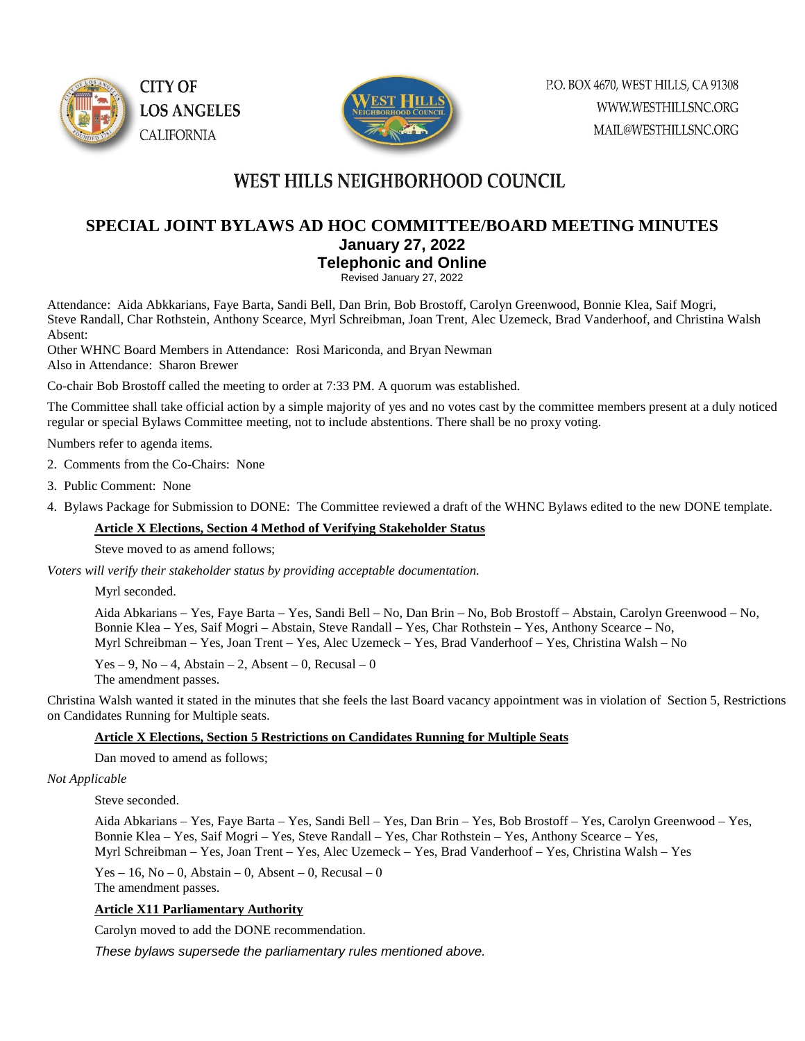



# **SPECIAL JOINT BYLAWS AD HOC COMMITTEE/BOARD MEETING MINUTES January 27, 2022**

**Telephonic and Online**

Revised January 27, 2022

Attendance: Aida Abkkarians, Faye Barta, Sandi Bell, Dan Brin, Bob Brostoff, Carolyn Greenwood, Bonnie Klea, Saif Mogri, Steve Randall, Char Rothstein, Anthony Scearce, Myrl Schreibman, Joan Trent, Alec Uzemeck, Brad Vanderhoof, and Christina Walsh Absent:

Other WHNC Board Members in Attendance: Rosi Mariconda, and Bryan Newman Also in Attendance: Sharon Brewer

Co-chair Bob Brostoff called the meeting to order at 7:33 PM. A quorum was established.

The Committee shall take official action by a simple majority of yes and no votes cast by the committee members present at a duly noticed regular or special Bylaws Committee meeting, not to include abstentions. There shall be no proxy voting.

Numbers refer to agenda items.

2. Comments from the Co-Chairs: None

- 3. Public Comment: None
- 4. Bylaws Package for Submission to DONE: The Committee reviewed a draft of the WHNC Bylaws edited to the new DONE template.

#### **Article X Elections, Section 4 Method of Verifying Stakeholder Status**

Steve moved to as amend follows;

*Voters will verify their stakeholder status by providing acceptable documentation.*

Myrl seconded.

Aida Abkarians – Yes, Faye Barta – Yes, Sandi Bell – No, Dan Brin – No, Bob Brostoff – Abstain, Carolyn Greenwood – No, Bonnie Klea – Yes, Saif Mogri – Abstain, Steve Randall – Yes, Char Rothstein – Yes, Anthony Scearce – No, Myrl Schreibman – Yes, Joan Trent – Yes, Alec Uzemeck – Yes, Brad Vanderhoof – Yes, Christina Walsh – No

Yes – 9, No – 4, Abstain – 2, Absent – 0, Recusal – 0

The amendment passes.

Christina Walsh wanted it stated in the minutes that she feels the last Board vacancy appointment was in violation of Section 5, Restrictions on Candidates Running for Multiple seats.

#### **Article X Elections, Section 5 Restrictions on Candidates Running for Multiple Seats**

Dan moved to amend as follows;

#### *Not Applicable*

Steve seconded.

Aida Abkarians – Yes, Faye Barta – Yes, Sandi Bell – Yes, Dan Brin – Yes, Bob Brostoff – Yes, Carolyn Greenwood – Yes, Bonnie Klea – Yes, Saif Mogri – Yes, Steve Randall – Yes, Char Rothstein – Yes, Anthony Scearce – Yes, Myrl Schreibman – Yes, Joan Trent – Yes, Alec Uzemeck – Yes, Brad Vanderhoof – Yes, Christina Walsh – Yes

Yes – 16, No – 0, Abstain – 0, Absent – 0, Recusal – 0 The amendment passes.

#### **Article X11 Parliamentary Authority**

Carolyn moved to add the DONE recommendation.

*These bylaws supersede the parliamentary rules mentioned above.*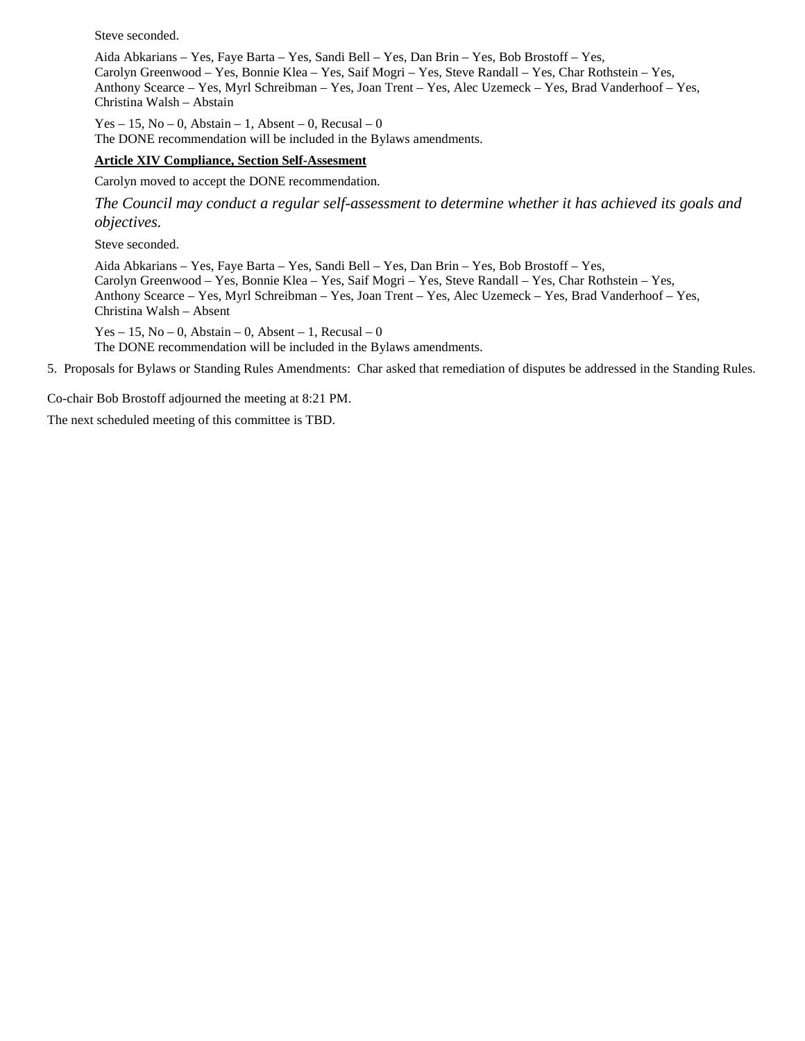Steve seconded.

Aida Abkarians – Yes, Faye Barta – Yes, Sandi Bell – Yes, Dan Brin – Yes, Bob Brostoff – Yes, Carolyn Greenwood – Yes, Bonnie Klea – Yes, Saif Mogri – Yes, Steve Randall – Yes, Char Rothstein – Yes, Anthony Scearce – Yes, Myrl Schreibman – Yes, Joan Trent – Yes, Alec Uzemeck – Yes, Brad Vanderhoof – Yes, Christina Walsh – Abstain

Yes – 15, No – 0, Abstain – 1, Absent – 0, Recusal – 0 The DONE recommendation will be included in the Bylaws amendments.

#### **Article XIV Compliance, Section Self-Assesment**

Carolyn moved to accept the DONE recommendation.

*The Council may conduct a regular self-assessment to determine whether it has achieved its goals and objectives.*

Steve seconded.

Aida Abkarians – Yes, Faye Barta – Yes, Sandi Bell – Yes, Dan Brin – Yes, Bob Brostoff – Yes, Carolyn Greenwood – Yes, Bonnie Klea – Yes, Saif Mogri – Yes, Steve Randall – Yes, Char Rothstein – Yes, Anthony Scearce – Yes, Myrl Schreibman – Yes, Joan Trent – Yes, Alec Uzemeck – Yes, Brad Vanderhoof – Yes, Christina Walsh – Absent

Yes – 15, No – 0, Abstain – 0, Absent – 1, Recusal – 0

The DONE recommendation will be included in the Bylaws amendments.

5. Proposals for Bylaws or Standing Rules Amendments: Char asked that remediation of disputes be addressed in the Standing Rules.

Co-chair Bob Brostoff adjourned the meeting at 8:21 PM.

The next scheduled meeting of this committee is TBD.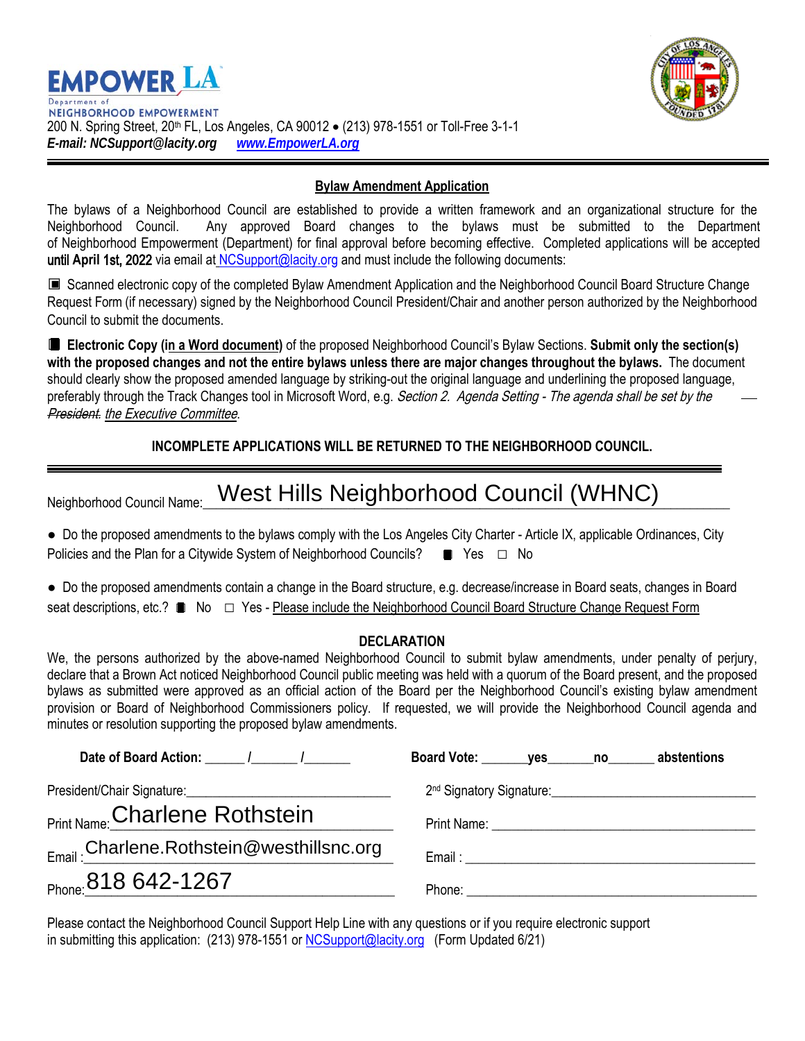



### **Bylaw Amendment Application**

The bylaws of a Neighborhood Council are established to provide a written framework and an organizational structure for the Neighborhood Council. Any approved Board changes to the bylaws must be submitted to the Department of Neighborhood Empowerment (Department) for final approval before becoming effective. Completed applications will be accepted until April 1st, 2022 via email at [NCSupport@lacity.or](mailto:NCSupport@lacity.org)g and must include the following documents:

■ Scanned electronic copy of the completed Bylaw Amendment Application and the Neighborhood Council Board Structure Change Request Form (if necessary) signed by the Neighborhood Council President/Chair and another person authorized by the Neighborhood Council to submit the documents.

□ **Electronic Copy (in a Word document)** of the proposed Neighborhood Council's Bylaw Sections. **Submit only the section(s) with the proposed changes and not the entire bylaws unless there are major changes throughout the bylaws.** The document should clearly show the proposed amended language by striking-out the original language and underlining the proposed language, preferably through the Track Changes tool in Microsoft Word, e.g. Section 2. Agenda Setting - The agenda shall be set by the **President.** the Executive Committee.

## **INCOMPLETE APPLICATIONS WILL BE RETURNED TO THE NEIGHBORHOOD COUNCIL.**

| Neighborhood Council Name: | . West Hills Neighborhood Council (WHNC) |  |
|----------------------------|------------------------------------------|--|
|----------------------------|------------------------------------------|--|

| • Do the proposed amendments to the bylaws comply with the Los Angeles City Charter - Article IX, applicable Ordinances, City |  |  |  |
|-------------------------------------------------------------------------------------------------------------------------------|--|--|--|
| Policies and the Plan for a Citywide System of Neighborhood Councils? $\Box$ Yes $\Box$ No                                    |  |  |  |

● Do the proposed amendments contain a change in the Board structure, e.g. decrease/increase in Board seats, changes in Board seat descriptions, etc.? ■ No □ Yes - Please include the Neighborhood Council Board Structure Change Request Form

### **DECLARATION**

We, the persons authorized by the above-named Neighborhood Council to submit bylaw amendments, under penalty of perjury, declare that a Brown Act noticed Neighborhood Council public meeting was held with a quorum of the Board present, and the proposed bylaws as submitted were approved as an official action of the Board per the Neighborhood Council's existing bylaw amendment provision or Board of Neighborhood Commissioners policy. If requested, we will provide the Neighborhood Council agenda and minutes or resolution supporting the proposed bylaw amendments.

| Date of Board Action: 1 1                             | Board Vote: ________ yes _______ no _______ abstentions |
|-------------------------------------------------------|---------------------------------------------------------|
|                                                       |                                                         |
| <sub>Print Name:</sub> Charlene Rothstein             |                                                         |
| <sub>Email :</sub> Charlene.Rothstein@westhillsnc.org |                                                         |
| Phone: 818 642-1267                                   |                                                         |

Please contact the Neighborhood Council Support Help Line with any questions or if you require electronic support in submitting this application: (213) 978-1551 or [NCSupport@lacity.org](mailto:NCSupport@lacity.org) (Form Updated 6/21)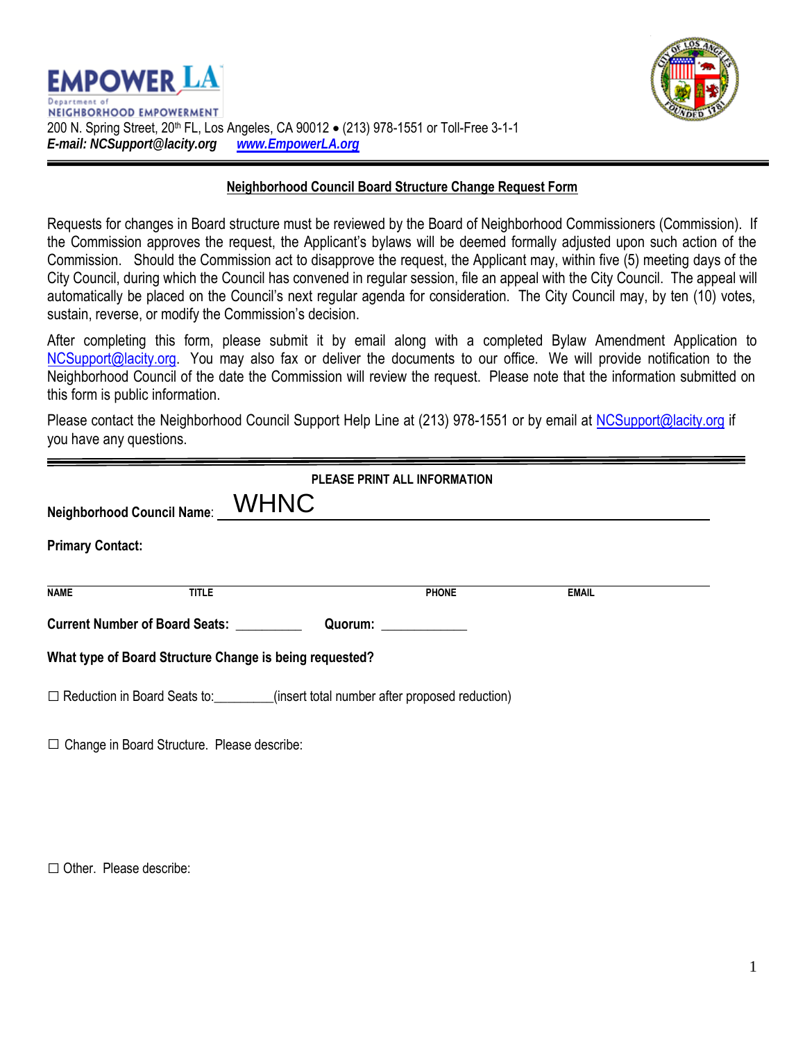



### **Neighborhood Council Board Structure Change Request Form**

Requests for changes in Board structure must be reviewed by the Board of Neighborhood Commissioners (Commission). If the Commission approves the request, the Applicant's bylaws will be deemed formally adjusted upon such action of the Commission. Should the Commission act to disapprove the request, the Applicant may, within five (5) meeting days of the City Council, during which the Council has convened in regular session, file an appeal with the City Council. The appeal will automatically be placed on the Council's next regular agenda for consideration. The City Council may, by ten (10) votes, sustain, reverse, or modify the Commission's decision.

After completing this form, please submit it by email along with a completed Bylaw Amendment Application to [NCSupport@lacity.org.](mailto:NCSupport@lacity.org) You may also fax or deliver the documents to our office. We will provide notification to the Neighborhood Council of the date the Commission will review the request. Please note that the information submitted on this form is public information.

Please contact the Neighborhood Council Support Help Line at (213) 978-1551 or by email at [NCSupport@lacity.org](mailto:NCSupport@lacity.org) if you have any questions.

| PLEASE PRINT ALL INFORMATION                                                         |              |                               |              |              |  |
|--------------------------------------------------------------------------------------|--------------|-------------------------------|--------------|--------------|--|
| Neighborhood Council Name: $\_\_ \mathsf{WHNC}$                                      |              |                               |              |              |  |
| <b>Primary Contact:</b>                                                              |              |                               |              |              |  |
| NAME                                                                                 | <b>TITLE</b> |                               | <b>PHONE</b> | <b>EMAIL</b> |  |
| Current Number of Board Seats: __________                                            |              | Quorum: <u>______________</u> |              |              |  |
| What type of Board Structure Change is being requested?                              |              |                               |              |              |  |
| □ Reduction in Board Seats to: _______(insert total number after proposed reduction) |              |                               |              |              |  |
| □ Change in Board Structure. Please describe:                                        |              |                               |              |              |  |

□ Other. Please describe: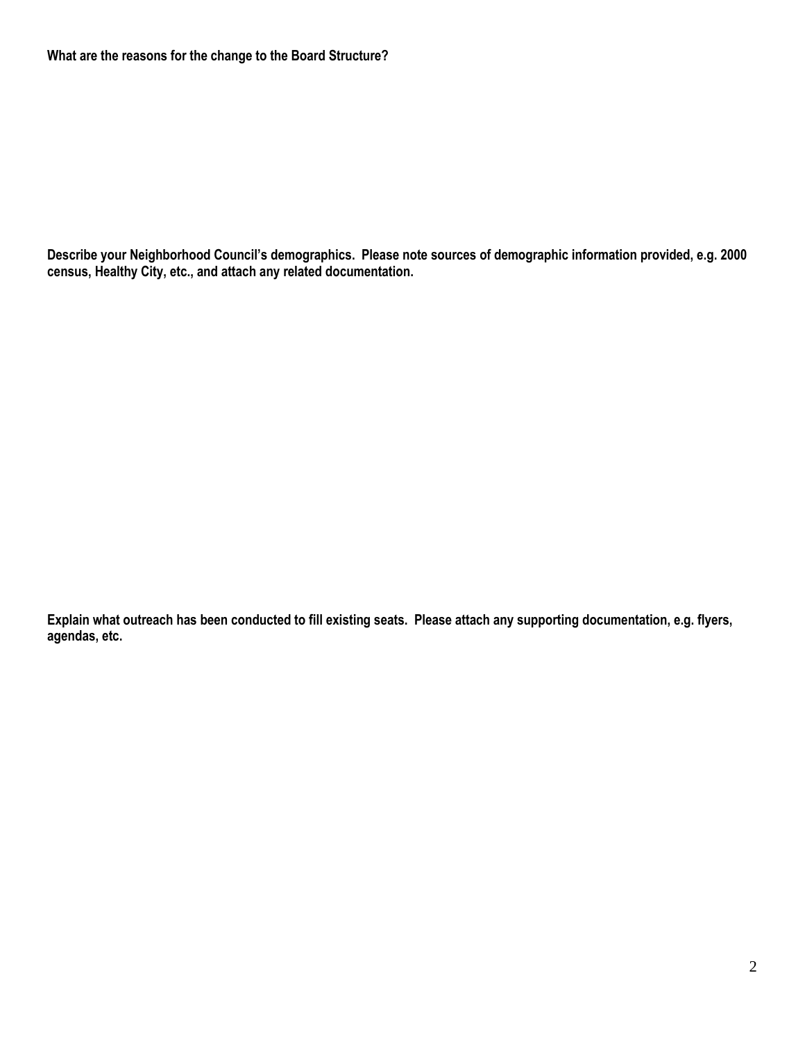**Describe your Neighborhood Council's demographics. Please note sources of demographic information provided, e.g. 2000 census, Healthy City, etc., and attach any related documentation.**

**Explain what outreach has been conducted to fill existing seats. Please attach any supporting documentation, e.g. flyers, agendas, etc.**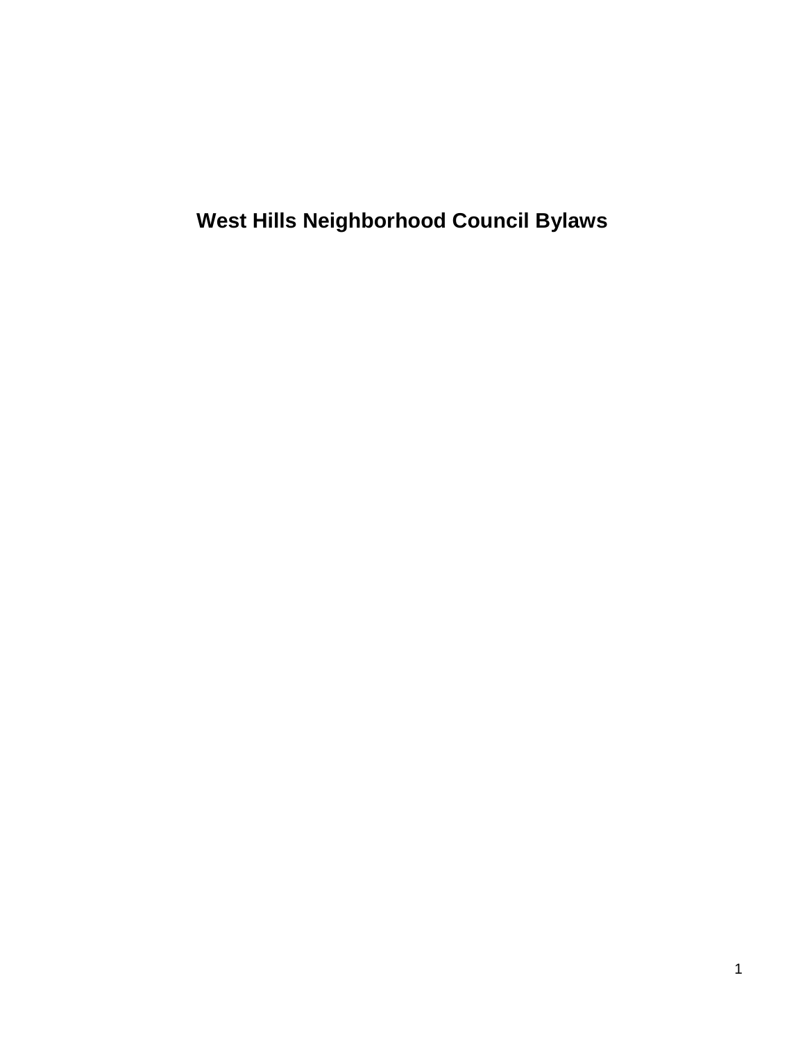**West Hills Neighborhood Council Bylaws**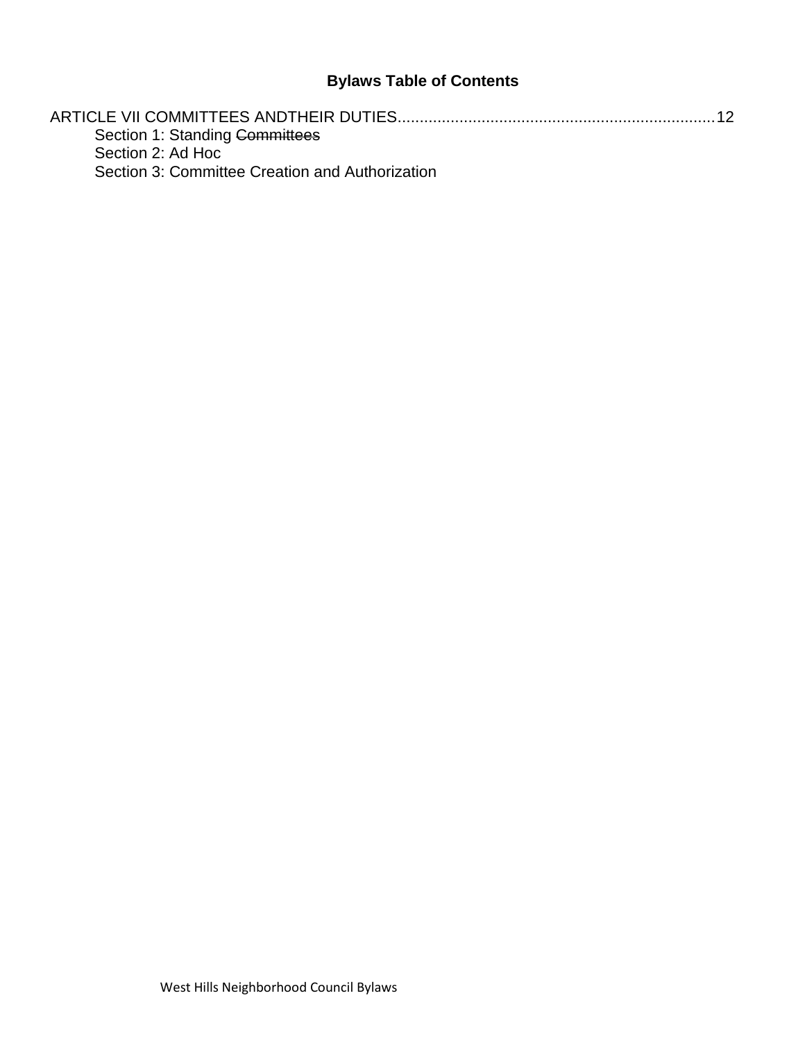## **Bylaws Table of Contents**

| Section 1: Standing Committees                  |  |
|-------------------------------------------------|--|
| Section 2: Ad Hoc                               |  |
| Section 3: Committee Creation and Authorization |  |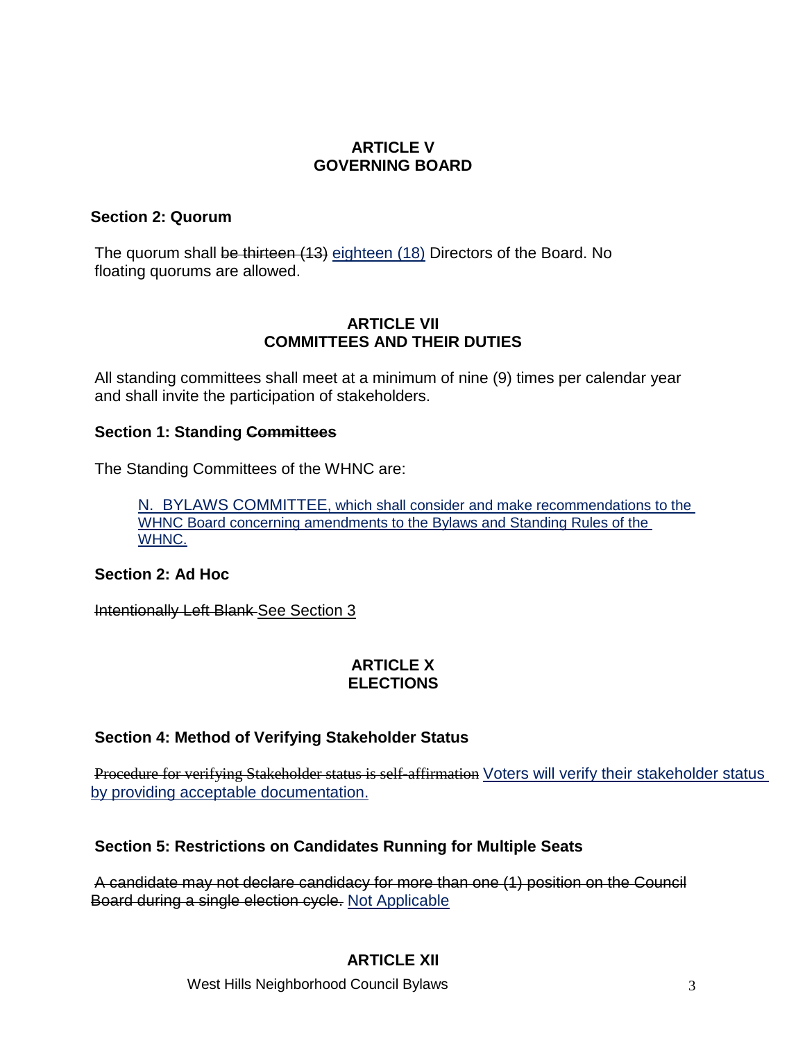## **ARTICLE V GOVERNING BOARD**

## **Section 2: Quorum**

The quorum shall be thirteen (13) eighteen (18) Directors of the Board. No floating quorums are allowed.

## **ARTICLE VII COMMITTEES AND THEIR DUTIES**

<span id="page-15-0"></span>All standing committees shall meet at a minimum of nine (9) times per calendar year and shall invite the participation of stakeholders.

## <span id="page-15-1"></span>**Section 1: Standing Committees**

The Standing Committees of the WHNC are:

N. BYLAWS COMMITTEE, which shall consider and make recommendations to the WHNC Board concerning amendments to the Bylaws and Standing Rules of the WHNC.

## <span id="page-15-2"></span>**Section 2: Ad Hoc**

<span id="page-15-3"></span>Intentionally Left Blank See Section 3

## **ARTICLE X ELECTIONS**

## **Section 4: Method of Verifying Stakeholder Status**

Procedure for verifying Stakeholder status is self-affirmation Voters will verify their stakeholder status by providing acceptable documentation.

## **Section 5: Restrictions on Candidates Running for Multiple Seats**

A candidate may not declare candidacy for more than one (1) position on the Council Board during a single election cycle. Not Applicable

## **ARTICLE XII**

West Hills Neighborhood Council Bylaws 33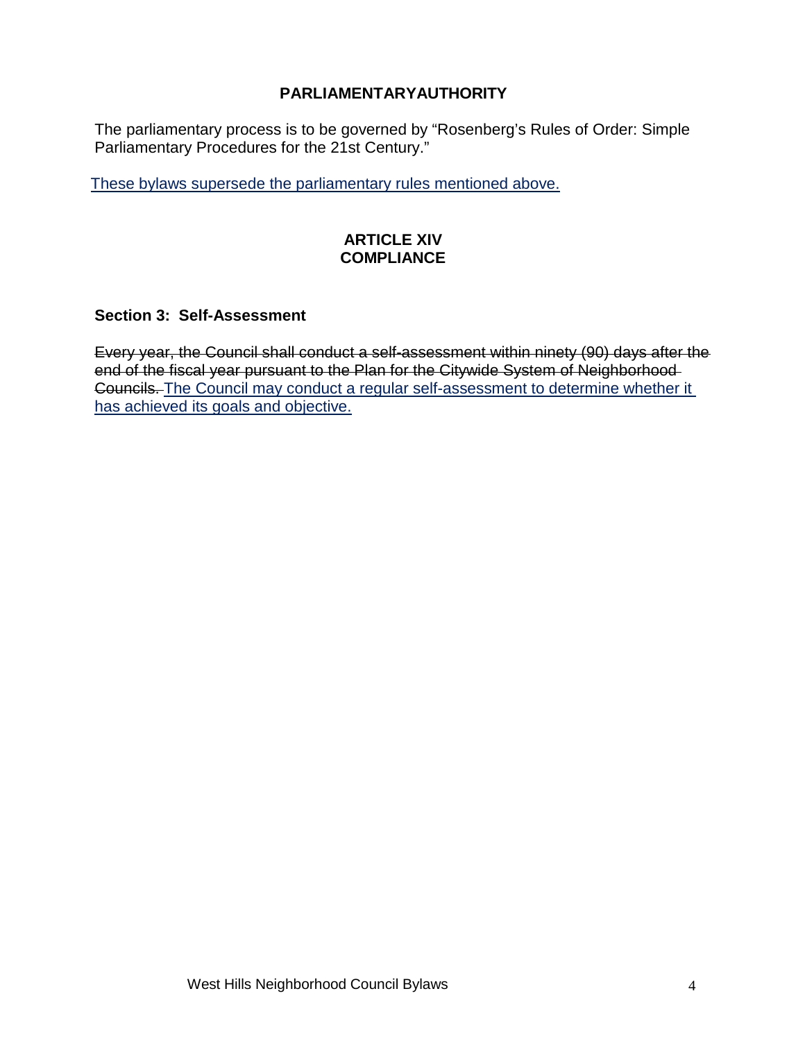## **PARLIAMENTARYAUTHORITY**

The parliamentary process is to be governed by "Rosenberg's Rules of Order: Simple Parliamentary Procedures for the 21st Century."

These bylaws supersede the parliamentary rules mentioned above.

## **ARTICLE XIV COMPLIANCE**

## **Section 3: Self-Assessment**

Every year, the Council shall conduct a self-assessment within ninety (90) days after the end of the fiscal year pursuant to the Plan for the Citywide System of Neighborhood Councils. The Council may conduct a regular self-assessment to determine whether it has achieved its goals and objective.